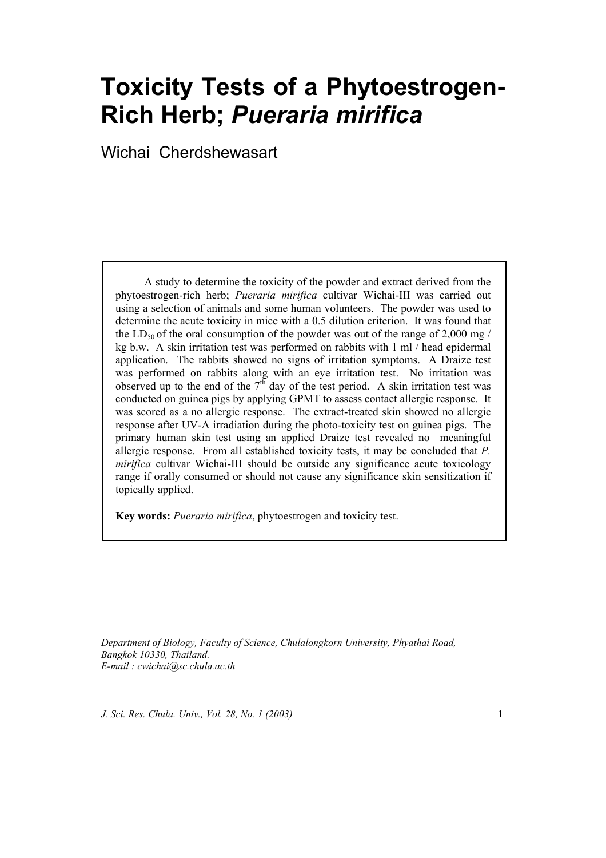# **Toxicity Tests of a Phytoestrogen-Rich Herb;** *Pueraria mirifica*

Wichai Cherdshewasart

A study to determine the toxicity of the powder and extract derived from the phytoestrogen-rich herb; *Pueraria mirifica* cultivar Wichai-III was carried out using a selection of animals and some human volunteers. The powder was used to determine the acute toxicity in mice with a 0.5 dilution criterion. It was found that the LD<sub>50</sub> of the oral consumption of the powder was out of the range of 2,000 mg/ kg b.w. A skin irritation test was performed on rabbits with 1 ml / head epidermal application. The rabbits showed no signs of irritation symptoms. A Draize test was performed on rabbits along with an eye irritation test. No irritation was observed up to the end of the  $7<sup>th</sup>$  day of the test period. A skin irritation test was conducted on guinea pigs by applying GPMT to assess contact allergic response. It was scored as a no allergic response. The extract-treated skin showed no allergic response after UV-A irradiation during the photo-toxicity test on guinea pigs. The primary human skin test using an applied Draize test revealed no meaningful allergic response. From all established toxicity tests, it may be concluded that *P. mirifica* cultivar Wichai-III should be outside any significance acute toxicology range if orally consumed or should not cause any significance skin sensitization if topically applied.

**Key words:** *Pueraria mirifica*, phytoestrogen and toxicity test.

*Department of Biology, Faculty of Science, Chulalongkorn University, Phyathai Road, Bangkok 10330, Thailand. E-mail : cwichai@sc.chula.ac.th*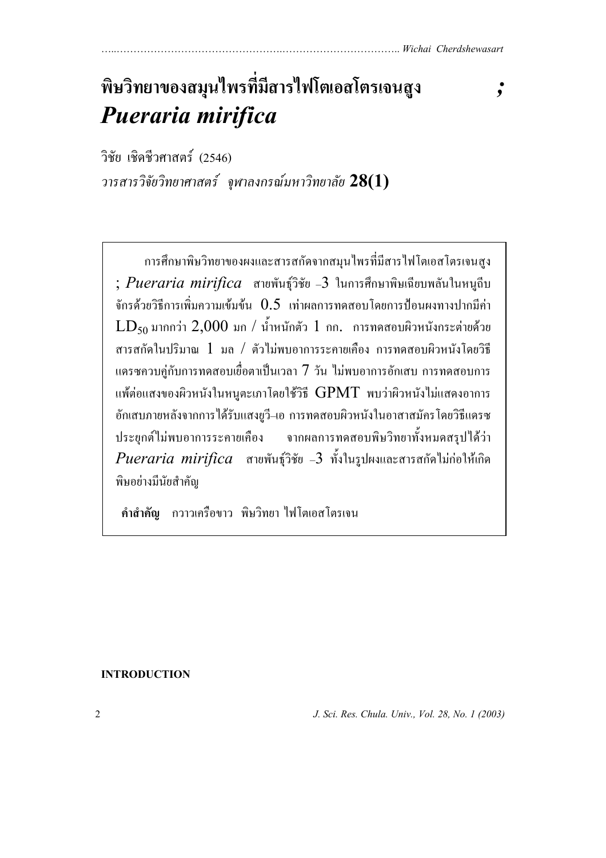# **พ ษว ทยาของสมุนไพรที่ม ีสารไฟโตเอสโตรเจนสูง** *;*  **ิ ิ** *Pueraria mirifica*

วิชัย เชิดชีวศาสตร (2546) *วารสารวิจัยวิทยาศาสตร จุฬาลงกรณ มหาวิทยาลัย* **28(1)** ֚֚֡<br>֚

การศึกษาพิษวิทยาของผงและสารสกัดจากสมุนไพรที่มีสารไฟโตเอสโตรเจนสูง ; *Pueraria mirifica* สายพันธุวิชัย –3 ในการศึกษาพิษเฉียบพลันในหนูถีบ จักรด้วยวิธีการเพิ่มความเข้มข้น  $0.5$  เท่าผลการทดสอบโดยการป้อนผงทางปากมีค่า  $LD_{50}$ มากกว่า  $2{,}000$  มก / น้ำหนักตัว  $1$  กก. การทดสอบผิวหนังกระต่ายด้วย สารสกัดในปริมาณ 1 มล / ตัวไมพบอาการระคายเคือง การทดสอบผิวหนังโดยวิธี แดรซควบคู่กับการทดสอบเยื่อตาเป็นเวลา  $7\,$ วัน ไม่พบอาการอักเสบ การทดสอบการ แพ้ต่อแสงของผิวหนังในหนูตะเภาโดยใช้วิธี  $\rm GPMT$  พบว่าผิวหนังไม่แสดงอาการ อักเสบภายหลังจากการไดรับแสงยูวี–เอ การทดสอบผิวหนังในอาสาสมัครโดยวิธีแดรซ ประยุกต์ไม่พบอาการระคายเคือง จากผลการทดสอบพิษวิทยาทั้งหมดสรุปได้ว่า *Pueraria mirifica* สายพันธุวิชัย –3 ทั้งในรูปผงและสารสกัดไมกอใหเกิด พิษอย่างมีนัยสำคัญ

 **คําสําคัญ** กวาวเครือขาว พิษวิทยา ไฟโตเอสโตรเจน

# **INTRODUCTION**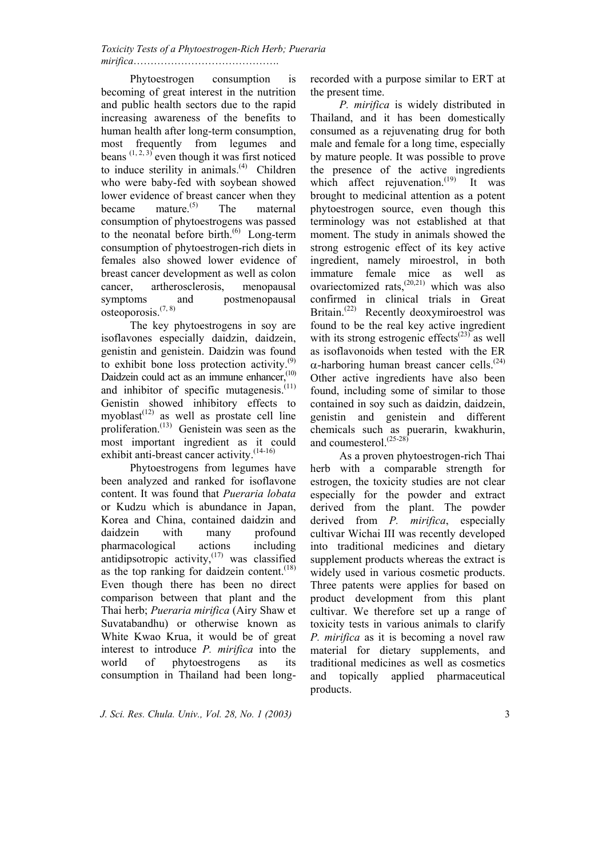*Toxicity Tests of a Phytoestrogen-Rich Herb; Pueraria mirifica*…………………………………….

 Phytoestrogen consumption is becoming of great interest in the nutrition and public health sectors due to the rapid increasing awareness of the benefits to human health after long-term consumption, most frequently from legumes and beans  $(1, 2, 3)$  even though it was first noticed to induce sterility in animals. $(4)$  Children who were baby-fed with soybean showed lower evidence of breast cancer when they became mature.(5) The maternal consumption of phytoestrogens was passed to the neonatal before birth. $^{(6)}$  Long-term consumption of phytoestrogen-rich diets in females also showed lower evidence of breast cancer development as well as colon cancer, artherosclerosis, menopausal symptoms and postmenopausal osteoporosis.(7, 8)

 The key phytoestrogens in soy are isoflavones especially daidzin, daidzein, genistin and genistein. Daidzin was found to exhibit bone loss protection activity. $(9)$ Daidzein could act as an immune enhancer,<sup>(10)</sup> and inhibitor of specific mutagenesis. $(11)$ Genistin showed inhibitory effects to myoblast<sup> $(12)$ </sup> as well as prostate cell line proliferation.<sup> $(13)$ </sup> Genistein was seen as the most important ingredient as it could exhibit anti-breast cancer activity.<sup>(14-16)</sup>

 Phytoestrogens from legumes have been analyzed and ranked for isoflavone content. It was found that *Pueraria lobata* or Kudzu which is abundance in Japan, Korea and China, contained daidzin and daidzein with many profound pharmacological actions including antidipsotropic activity, $(17)$  was classified as the top ranking for daidzein content. $(18)$ Even though there has been no direct comparison between that plant and the Thai herb; *Pueraria mirifica* (Airy Shaw et Suvatabandhu) or otherwise known as White Kwao Krua, it would be of great interest to introduce *P. mirifica* into the world of phytoestrogens as its consumption in Thailand had been long-

recorded with a purpose similar to ERT at the present time.

*P. mirifica* is widely distributed in Thailand, and it has been domestically consumed as a rejuvenating drug for both male and female for a long time, especially by mature people. It was possible to prove the presence of the active ingredients which affect rejuvenation.<sup>(19)</sup> It was brought to medicinal attention as a potent phytoestrogen source, even though this terminology was not established at that moment. The study in animals showed the strong estrogenic effect of its key active ingredient, namely miroestrol, in both immature female mice as well as ovariectomized rats, $^{(20,21)}$  which was also confirmed in clinical trials in Great Britain.<sup>(22)</sup> Recently deoxymiroestrol was found to be the real key active ingredient with its strong estrogenic effects<sup> $(23)$ </sup> as well as isoflavonoids when tested with the ER  $\alpha$ -harboring human breast cancer cells.<sup>(24)</sup> Other active ingredients have also been found, including some of similar to those contained in soy such as daidzin, daidzein, genistin and genistein and different chemicals such as puerarin, kwakhurin, and coumesterol.<sup>(25-28)</sup>

 As a proven phytoestrogen-rich Thai herb with a comparable strength for estrogen, the toxicity studies are not clear especially for the powder and extract derived from the plant. The powder derived from *P. mirifica*, especially cultivar Wichai III was recently developed into traditional medicines and dietary supplement products whereas the extract is widely used in various cosmetic products. Three patents were applies for based on product development from this plant cultivar. We therefore set up a range of toxicity tests in various animals to clarify *P. mirifica* as it is becoming a novel raw material for dietary supplements, and traditional medicines as well as cosmetics and topically applied pharmaceutical products.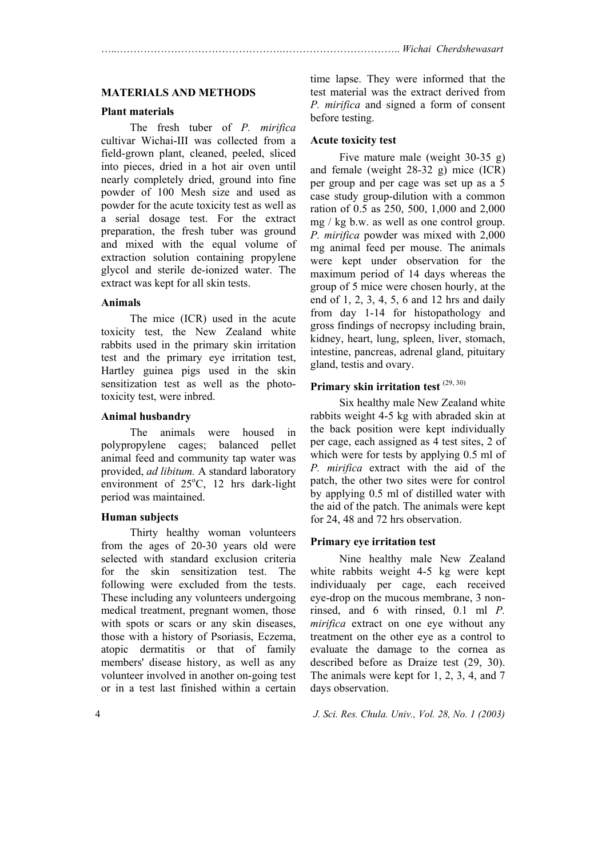#### **MATERIALS AND METHODS**

#### **Plant materials**

 The fresh tuber of *P. mirifica* cultivar Wichai-III was collected from a field-grown plant, cleaned, peeled, sliced into pieces, dried in a hot air oven until nearly completely dried, ground into fine powder of 100 Mesh size and used as powder for the acute toxicity test as well as a serial dosage test. For the extract preparation, the fresh tuber was ground and mixed with the equal volume of extraction solution containing propylene glycol and sterile de-ionized water. The extract was kept for all skin tests.

#### **Animals**

 The mice (ICR) used in the acute toxicity test, the New Zealand white rabbits used in the primary skin irritation test and the primary eye irritation test, Hartley guinea pigs used in the skin sensitization test as well as the phototoxicity test, were inbred.

#### **Animal husbandry**

 The animals were housed in polypropylene cages; balanced pellet animal feed and community tap water was provided, *ad libitum.* A standard laboratory environment of 25°C, 12 hrs dark-light period was maintained.

#### **Human subjects**

 Thirty healthy woman volunteers from the ages of 20-30 years old were selected with standard exclusion criteria for the skin sensitization test. The following were excluded from the tests. These including any volunteers undergoing medical treatment, pregnant women, those with spots or scars or any skin diseases, those with a history of Psoriasis, Eczema, atopic dermatitis or that of family members' disease history, as well as any volunteer involved in another on-going test or in a test last finished within a certain

time lapse. They were informed that the test material was the extract derived from *P. mirifica* and signed a form of consent before testing.

#### **Acute toxicity test**

 Five mature male (weight 30-35 g) and female (weight 28-32 g) mice (ICR) per group and per cage was set up as a 5 case study group-dilution with a common ration of 0.5 as 250, 500, 1,000 and 2,000 mg / kg b.w. as well as one control group. *P. mirifica* powder was mixed with 2,000 mg animal feed per mouse. The animals were kept under observation for the maximum period of 14 days whereas the group of 5 mice were chosen hourly, at the end of 1, 2, 3, 4, 5, 6 and 12 hrs and daily from day 1-14 for histopathology and gross findings of necropsy including brain, kidney, heart, lung, spleen, liver, stomach, intestine, pancreas, adrenal gland, pituitary gland, testis and ovary.

# Primary skin irritation test <sup>(29, 30)</sup>

 Six healthy male New Zealand white rabbits weight 4-5 kg with abraded skin at the back position were kept individually per cage, each assigned as 4 test sites, 2 of which were for tests by applying 0.5 ml of *P. mirifica* extract with the aid of the patch, the other two sites were for control by applying 0.5 ml of distilled water with the aid of the patch. The animals were kept for 24, 48 and 72 hrs observation.

#### **Primary eye irritation test**

 Nine healthy male New Zealand white rabbits weight 4-5 kg were kept individuaaly per cage, each received eye-drop on the mucous membrane, 3 nonrinsed, and 6 with rinsed, 0.1 ml *P. mirifica* extract on one eye without any treatment on the other eye as a control to evaluate the damage to the cornea as described before as Draize test (29, 30). The animals were kept for 1, 2, 3, 4, and 7 days observation.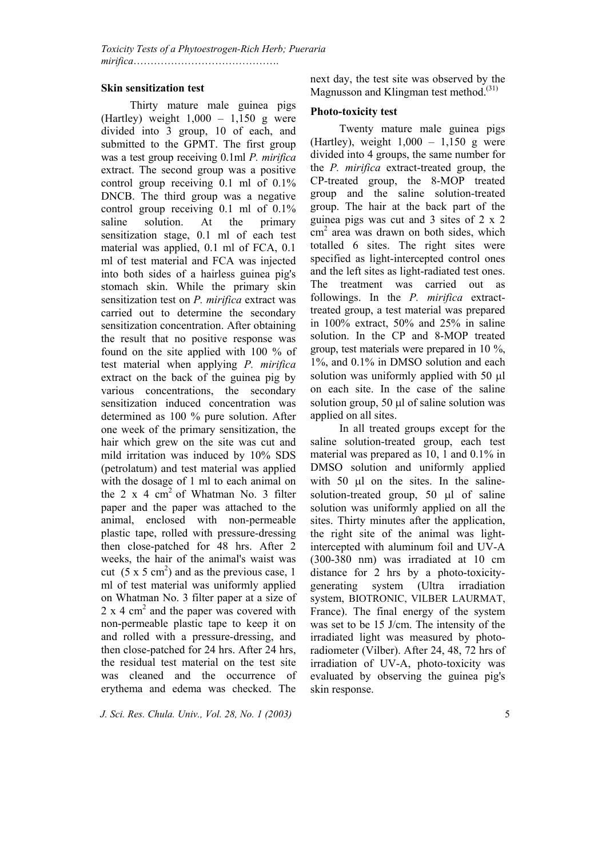## **Skin sensitization test**

 Thirty mature male guinea pigs (Hartley) weight  $1,000 - 1,150$  g were divided into 3 group, 10 of each, and submitted to the GPMT. The first group was a test group receiving 0.1ml *P. mirifica* extract. The second group was a positive control group receiving 0.1 ml of 0.1% DNCB. The third group was a negative control group receiving 0.1 ml of 0.1% saline solution. At the primary sensitization stage, 0.1 ml of each test material was applied, 0.1 ml of FCA, 0.1 ml of test material and FCA was injected into both sides of a hairless guinea pig's stomach skin. While the primary skin sensitization test on *P. mirifica* extract was carried out to determine the secondary sensitization concentration. After obtaining the result that no positive response was found on the site applied with 100 % of test material when applying *P. mirifica* extract on the back of the guinea pig by various concentrations, the secondary sensitization induced concentration was determined as 100 % pure solution. After one week of the primary sensitization, the hair which grew on the site was cut and mild irritation was induced by 10% SDS (petrolatum) and test material was applied with the dosage of 1 ml to each animal on the 2 x 4 cm<sup>2</sup> of Whatman No. 3 filter paper and the paper was attached to the animal, enclosed with non-permeable plastic tape, rolled with pressure-dressing then close-patched for 48 hrs. After 2 weeks, the hair of the animal's waist was cut  $(5 \times 5 \text{ cm}^2)$  and as the previous case, 1 ml of test material was uniformly applied on Whatman No. 3 filter paper at a size of  $2 \times 4$  cm<sup>2</sup> and the paper was covered with non-permeable plastic tape to keep it on and rolled with a pressure-dressing, and then close-patched for 24 hrs. After 24 hrs, the residual test material on the test site was cleaned and the occurrence of erythema and edema was checked. The

next day, the test site was observed by the Magnusson and Klingman test method.<sup>(31)</sup>

# **Photo-toxicity test**

 Twenty mature male guinea pigs (Hartley), weight  $1,000 - 1,150$  g were divided into 4 groups, the same number for the *P. mirifica* extract-treated group, the CP-treated group, the 8-MOP treated group and the saline solution-treated group. The hair at the back part of the guinea pigs was cut and 3 sites of 2 x 2 cm2 area was drawn on both sides, which totalled 6 sites. The right sites were specified as light-intercepted control ones and the left sites as light-radiated test ones. The treatment was carried out as followings. In the *P. mirifica* extracttreated group, a test material was prepared in 100% extract, 50% and 25% in saline solution. In the CP and 8-MOP treated group, test materials were prepared in 10 %, 1%, and 0.1% in DMSO solution and each solution was uniformly applied with 50  $\mu$ l on each site. In the case of the saline solution group, 50 µl of saline solution was applied on all sites.

 In all treated groups except for the saline solution-treated group, each test material was prepared as 10, 1 and 0.1% in DMSO solution and uniformly applied with  $50$   $\mu$  on the sites. In the salinesolution-treated group, 50 µl of saline solution was uniformly applied on all the sites. Thirty minutes after the application, the right site of the animal was lightintercepted with aluminum foil and UV-A (300-380 nm) was irradiated at 10 cm distance for 2 hrs by a photo-toxicitygenerating system (Ultra irradiation system, BIOTRONIC, VILBER LAURMAT, France). The final energy of the system was set to be 15 J/cm. The intensity of the irradiated light was measured by photoradiometer (Vilber). After 24, 48, 72 hrs of irradiation of UV-A, photo-toxicity was evaluated by observing the guinea pig's skin response.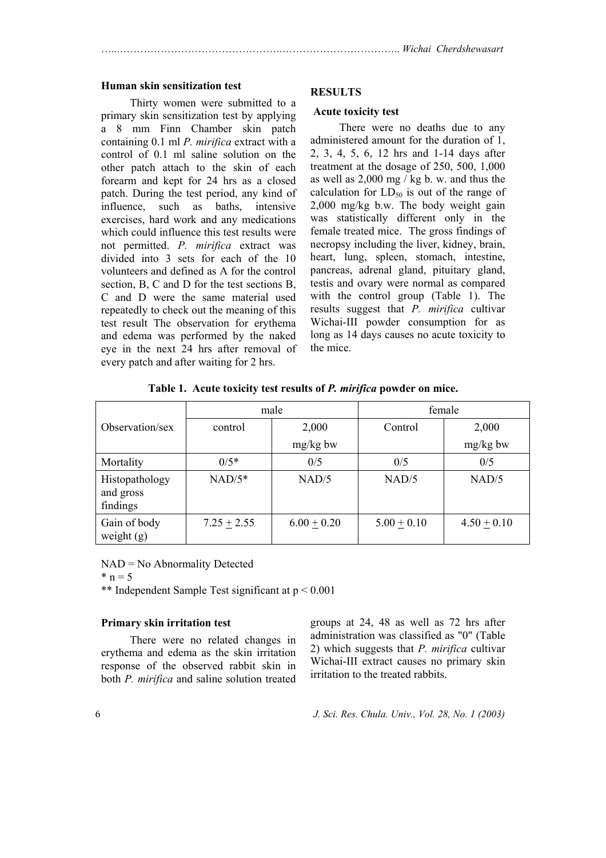#### **Human skin sensitization test**

 Thirty women were submitted to a primary skin sensitization test by applying a 8 mm Finn Chamber skin patch containing 0.1 ml *P. mirifica* extract with a control of 0.1 ml saline solution on the other patch attach to the skin of each forearm and kept for 24 hrs as a closed patch. During the test period, any kind of influence, such as baths, intensive exercises, hard work and any medications which could influence this test results were not permitted. *P. mirifica* extract was divided into 3 sets for each of the 10 volunteers and defined as A for the control section, B, C and D for the test sections B, C and D were the same material used repeatedly to check out the meaning of this test result The observation for erythema and edema was performed by the naked eye in the next 24 hrs after removal of every patch and after waiting for 2 hrs.

#### **RESULTS**

#### **Acute toxicity test**

 There were no deaths due to any administered amount for the duration of 1, 2, 3, 4, 5, 6, 12 hrs and 1-14 days after treatment at the dosage of 250, 500, 1,000 as well as 2,000 mg / kg b. w. and thus the calculation for  $LD_{50}$  is out of the range of 2,000 mg/kg b.w. The body weight gain was statistically different only in the female treated mice. The gross findings of necropsy including the liver, kidney, brain, heart, lung, spleen, stomach, intestine, pancreas, adrenal gland, pituitary gland, testis and ovary were normal as compared with the control group (Table 1). The results suggest that *P. mirifica* cultivar Wichai-III powder consumption for as long as 14 days causes no acute toxicity to the mice.

|                                         | male          |               | female        |                 |  |  |
|-----------------------------------------|---------------|---------------|---------------|-----------------|--|--|
| Observation/sex                         | control       | 2,000         | Control       | 2,000           |  |  |
|                                         |               | $mg/kg$ bw    |               | $mg/kg$ bw      |  |  |
| Mortality                               | $0/5*$        | 0/5           | 0/5           | 0/5             |  |  |
| Histopathology<br>and gross<br>findings | $NAD/5*$      | NAD/5         | NAD/5         | NAD/5           |  |  |
| Gain of body<br>weight $(g)$            | $7.25 + 2.55$ | $6.00 + 0.20$ | $5.00 + 0.10$ | $4.50 \pm 0.10$ |  |  |

**Table 1. Acute toxicity test results of** *P. mirifica* **powder on mice.**

NAD = No Abnormality Detected

 $* n = 5$ 

\*\* Independent Sample Test significant at p < 0.001

#### **Primary skin irritation test**

 There were no related changes in erythema and edema as the skin irritation response of the observed rabbit skin in both *P. mirifica* and saline solution treated groups at 24, 48 as well as 72 hrs after administration was classified as "0" (Table 2) which suggests that *P. mirifica* cultivar Wichai-III extract causes no primary skin irritation to the treated rabbits.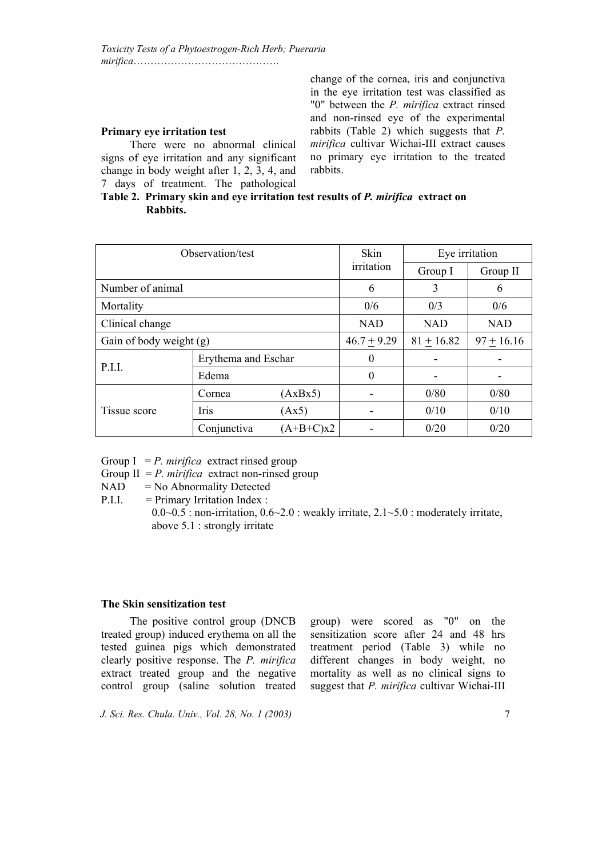#### **Primary eye irritation test**

There were no abnormal clinical signs of eye irritation and any significant change in body weight after 1, 2, 3, 4, and 7 days of treatment. The pathological change of the cornea, iris and conjunctiva in the eye irritation test was classified as "0" between the *P. mirifica* extract rinsed and non-rinsed eye of the experimental rabbits (Table 2) which suggests that *P. mirifica* cultivar Wichai-III extract causes no primary eye irritation to the treated rabbits.

# **Table 2. Primary skin and eye irritation test results of** *P. mirifica* **extract on Rabbits.**

| Observation/test        |                     |             | Skin          | Eye irritation           |              |  |
|-------------------------|---------------------|-------------|---------------|--------------------------|--------------|--|
|                         | irritation          | Group I     | Group II      |                          |              |  |
| Number of animal        | 6                   | 3           | 6             |                          |              |  |
| Mortality               |                     |             | 0/6           | 0/3                      | 0/6          |  |
| Clinical change         |                     |             | <b>NAD</b>    | <b>NAD</b><br><b>NAD</b> |              |  |
| Gain of body weight (g) |                     |             | $46.7 + 9.29$ | $81 + 16.82$             | $97 + 16.16$ |  |
| P.I.I.                  | Erythema and Eschar |             | 0             |                          |              |  |
|                         | Edema               |             | $\theta$      |                          |              |  |
|                         | Cornea              | (AxBx5)     |               | 0/80                     | 0/80         |  |
| Tissue score            | Iris                | (Ax5)       |               | 0/10                     | 0/10         |  |
|                         | Conjunctiva         | $(A+B+C)x2$ |               | 0/20                     | 0/20         |  |

Group  $I = P$ . *mirifica* extract rinsed group

Group  $II = P$ . *mirifica* extract non-rinsed group

- $NAD = No Abnormality$  Detected
- P.I.I. = Primary Irritation Index :  $0.0~0.5$ : non-irritation,  $0.6~2.0$ : weakly irritate,  $2.1~5.0$ : moderately irritate, above 5.1 : strongly irritate

#### **The Skin sensitization test**

The positive control group (DNCB treated group) induced erythema on all the tested guinea pigs which demonstrated clearly positive response. The *P. mirifica* extract treated group and the negative control group (saline solution treated

group) were scored as "0" on the sensitization score after 24 and 48 hrs treatment period (Table 3) while no different changes in body weight, no mortality as well as no clinical signs to suggest that *P. mirifica* cultivar Wichai-III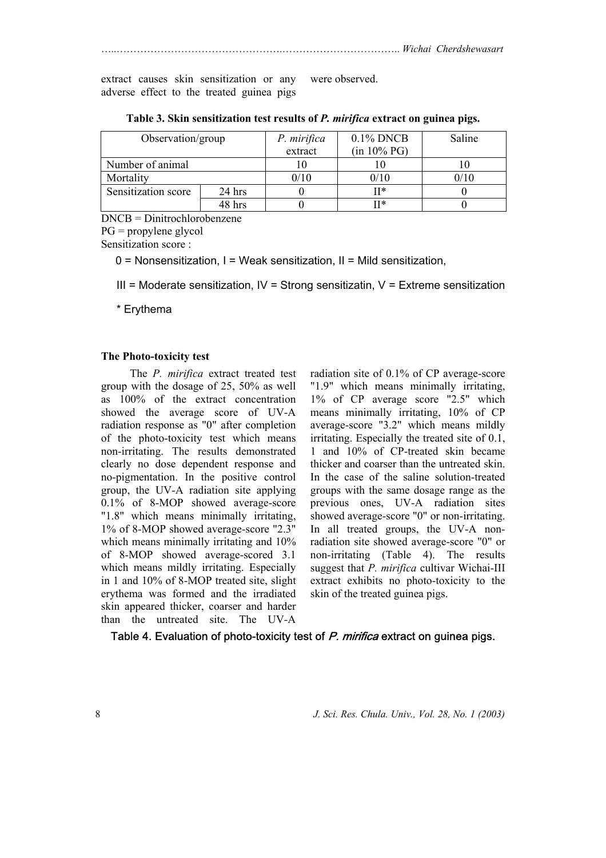extract causes skin sensitization or any adverse effect to the treated guinea pigs were observed.

| Observation/group   |          | P. mirifica | $0.1\%$ DNCB   | Saline |
|---------------------|----------|-------------|----------------|--------|
|                     |          | extract     | $(in 10\% PG)$ |        |
| Number of animal    |          |             |                |        |
| Mortality           |          | 0/10        | 0/10           | 0/10   |
| Sensitization score | $24$ hrs |             | II*            |        |
|                     | 48 hrs   |             | ∏*             |        |

**Table 3. Skin sensitization test results of** *P. mirifica* **extract on guinea pigs.**

DNCB = Dinitrochlorobenzene

PG = propylene glycol

Sensitization score :

0 = Nonsensitization, I = Weak sensitization, II = Mild sensitization,

 $III =$  Moderate sensitization,  $IV =$  Strong sensitizatin,  $V =$  Extreme sensitization

\* Erythema

#### **The Photo-toxicity test**

 The *P. mirifica* extract treated test group with the dosage of 25, 50% as well as 100% of the extract concentration showed the average score of UV-A radiation response as "0" after completion of the photo-toxicity test which means non-irritating. The results demonstrated clearly no dose dependent response and no-pigmentation. In the positive control group, the UV-A radiation site applying 0.1% of 8-MOP showed average-score "1.8" which means minimally irritating, 1% of 8-MOP showed average-score "2.3" which means minimally irritating and  $10\%$ of 8-MOP showed average-scored 3.1 which means mildly irritating. Especially in 1 and 10% of 8-MOP treated site, slight erythema was formed and the irradiated skin appeared thicker, coarser and harder than the untreated site. The UV-A

radiation site of 0.1% of CP average-score "1.9" which means minimally irritating, 1% of CP average score "2.5" which means minimally irritating, 10% of CP average-score "3.2" which means mildly irritating. Especially the treated site of 0.1, 1 and 10% of CP-treated skin became thicker and coarser than the untreated skin. In the case of the saline solution-treated groups with the same dosage range as the previous ones, UV-A radiation sites showed average-score "0" or non-irritating. In all treated groups, the UV-A nonradiation site showed average-score "0" or non-irritating (Table 4). The results suggest that *P. mirifica* cultivar Wichai-III extract exhibits no photo-toxicity to the skin of the treated guinea pigs.

Table 4. Evaluation of photo-toxicity test of P. mirifica extract on guinea pigs.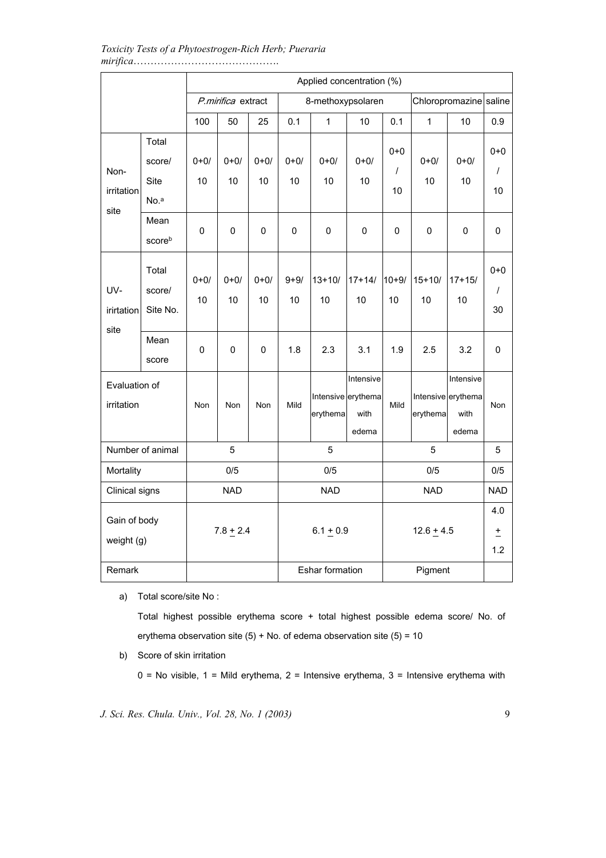*Toxicity Tests of a Phytoestrogen-Rich Herb; Pueraria mirifica*…………………………………….

|                             |                                 | Applied concentration (%) |                |                   |                |                  |                                                  |                           |                  |                                                  |                           |
|-----------------------------|---------------------------------|---------------------------|----------------|-------------------|----------------|------------------|--------------------------------------------------|---------------------------|------------------|--------------------------------------------------|---------------------------|
|                             |                                 | P.mirifica extract        |                | 8-methoxypsolaren |                |                  |                                                  | Chloropromazine saline    |                  |                                                  |                           |
|                             |                                 | 100                       | 50             | 25                | 0.1            | $\mathbf 1$      | 10                                               | 0.1                       | $\mathbf{1}$     | 10                                               | 0.9                       |
| Non-<br>irritation<br>site  | Total<br>score/<br>Site<br>No.ª | $0 + 0/$<br>10            | $0 + 0/$<br>10 | $0 + 0/$<br>10    | $0 + 0/$<br>10 | $0 + 0/$<br>10   | $0 + 0/$<br>10                                   | $0 + 0$<br>$\prime$<br>10 | $0 + 0/$<br>10   | $0 + 0/$<br>10                                   | $0 + 0$<br>$\prime$<br>10 |
|                             | Mean<br>scoreb                  | 0                         | 0              | 0                 | 0              | 0                | 0                                                | 0                         | 0                | 0                                                | 0                         |
| UV-<br>irirtation<br>site   | Total<br>score/<br>Site No.     | $0 + 0/$<br>10            | $0 + 0/$<br>10 | $0 + 0/$<br>10    | $9 + 9/$<br>10 | $13 + 10/$<br>10 | $17 + 14/$<br>10                                 | $10 + 9/$<br>10           | $15 + 10/$<br>10 | $17 + 15/$<br>10                                 | $0 + 0$<br>$\prime$<br>30 |
|                             | Mean<br>score                   | 0                         | 0              | 0                 | 1.8            | 2.3              | 3.1                                              | 1.9                       | 2.5              | 3.2                                              | 0                         |
| Evaluation of<br>irritation |                                 | Non                       | Non            | Non               | Mild           | erythema         | Intensive<br>Intensive erythema<br>with<br>edema | Mild                      | erythema         | Intensive<br>Intensive erythema<br>with<br>edema | Non                       |
| Number of animal            |                                 | 5<br>5                    |                |                   |                |                  | 5                                                |                           |                  | 5                                                |                           |
| Mortality                   |                                 |                           | 0/5            |                   |                | 0/5              |                                                  | 0/5                       |                  | 0/5                                              |                           |
| Clinical signs              |                                 | <b>NAD</b>                |                | <b>NAD</b>        |                | <b>NAD</b>       |                                                  | <b>NAD</b>                |                  |                                                  |                           |
| Gain of body<br>weight (g)  |                                 |                           | $7.8 + 2.4$    |                   | $6.1 + 0.9$    |                  |                                                  | $12.6 + 4.5$              |                  | 4.0<br>$\pm$<br>1.2                              |                           |
| Remark                      |                                 |                           |                |                   |                | Eshar formation  |                                                  |                           | Pigment          |                                                  |                           |

a) Total score/site No :

Total highest possible erythema score + total highest possible edema score/ No. of erythema observation site  $(5)$  + No. of edema observation site  $(5)$  = 10

b) Score of skin irritation

 $0 = No$  visible,  $1 = Mild$  erythema,  $2 = Intensive$  erythema,  $3 = Intensive$  erythema with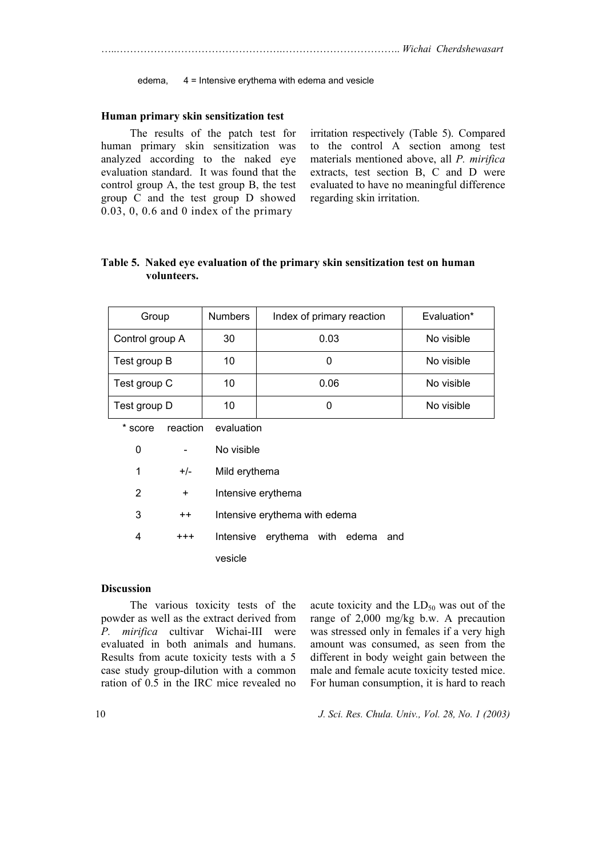edema, 4 = Intensive erythema with edema and vesicle

#### **Human primary skin sensitization test**

 The results of the patch test for human primary skin sensitization was analyzed according to the naked eye evaluation standard. It was found that the control group A, the test group B, the test group C and the test group D showed 0.03, 0, 0.6 and 0 index of the primary

irritation respectively (Table 5). Compared to the control A section among test materials mentioned above, all *P. mirifica* extracts, test section B, C and D were evaluated to have no meaningful difference regarding skin irritation.

# **Table 5. Naked eye evaluation of the primary skin sensitization test on human volunteers.**

| Group           | <b>Numbers</b> | Index of primary reaction | Evaluation* |
|-----------------|----------------|---------------------------|-------------|
| Control group A | 30             | 0.03                      | No visible  |
| Test group B    | 10             |                           | No visible  |
| Test group C    | 10             | 0.06                      | No visible  |
| Test group D    | 10             |                           | No visible  |

\* score reaction evaluation

| 0 |                 | No visible                        |  |  |  |
|---|-----------------|-----------------------------------|--|--|--|
| 1 | $+/-$           | Mild erythema                     |  |  |  |
| 2 | +               | Intensive erythema                |  |  |  |
| 3 | $^{\mathrm{+}}$ | Intensive erythema with edema     |  |  |  |
| 4 | $^{++}$         | Intensive erythema with edema and |  |  |  |
|   |                 | vesicle                           |  |  |  |

#### **Discussion**

 The various toxicity tests of the powder as well as the extract derived from *P. mirifica* cultivar Wichai-III were evaluated in both animals and humans. Results from acute toxicity tests with a 5 case study group-dilution with a common ration of 0.5 in the IRC mice revealed no

acute toxicity and the  $LD_{50}$  was out of the range of 2,000 mg/kg b.w. A precaution was stressed only in females if a very high amount was consumed, as seen from the different in body weight gain between the male and female acute toxicity tested mice. For human consumption, it is hard to reach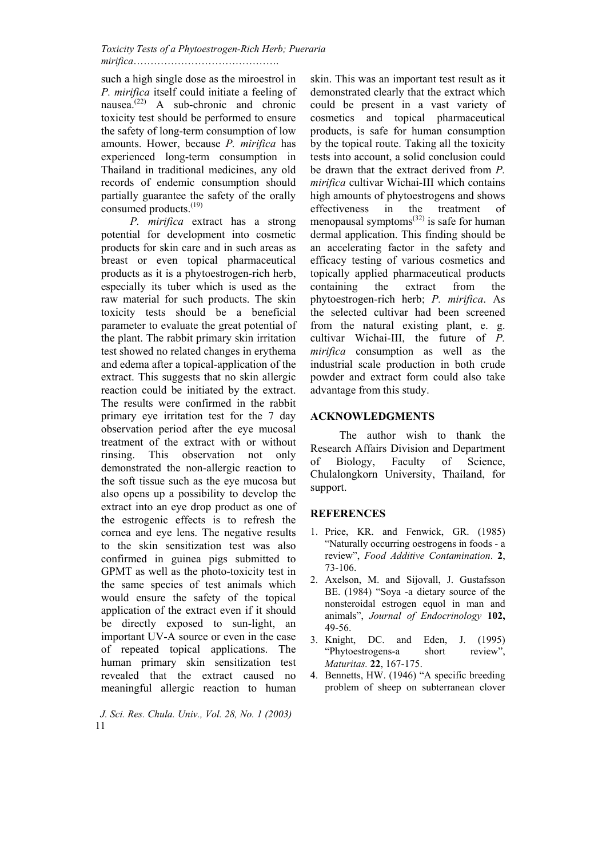*Toxicity Tests of a Phytoestrogen-Rich Herb; Pueraria mirifica*…………………………………….

such a high single dose as the miroestrol in *P. mirifica* itself could initiate a feeling of nausea.(22) A sub-chronic and chronic toxicity test should be performed to ensure the safety of long-term consumption of low amounts. Hower, because *P. mirifica* has experienced long-term consumption in Thailand in traditional medicines, any old records of endemic consumption should partially guarantee the safety of the orally consumed products.<sup>(19)</sup>

*P. mirifica* extract has a strong potential for development into cosmetic products for skin care and in such areas as breast or even topical pharmaceutical products as it is a phytoestrogen-rich herb, especially its tuber which is used as the raw material for such products. The skin toxicity tests should be a beneficial parameter to evaluate the great potential of the plant. The rabbit primary skin irritation test showed no related changes in erythema and edema after a topical-application of the extract. This suggests that no skin allergic reaction could be initiated by the extract. The results were confirmed in the rabbit primary eye irritation test for the 7 day observation period after the eye mucosal treatment of the extract with or without rinsing. This observation not only demonstrated the non-allergic reaction to the soft tissue such as the eye mucosa but also opens up a possibility to develop the extract into an eye drop product as one of the estrogenic effects is to refresh the cornea and eye lens. The negative results to the skin sensitization test was also confirmed in guinea pigs submitted to GPMT as well as the photo-toxicity test in the same species of test animals which would ensure the safety of the topical application of the extract even if it should be directly exposed to sun-light, an important UV-A source or even in the case of repeated topical applications. The human primary skin sensitization test revealed that the extract caused no meaningful allergic reaction to human

 *J. Sci. Res. Chula. Univ., Vol. 28, No. 1 (2003)*  11

skin. This was an important test result as it demonstrated clearly that the extract which could be present in a vast variety of cosmetics and topical pharmaceutical products, is safe for human consumption by the topical route. Taking all the toxicity tests into account, a solid conclusion could be drawn that the extract derived from *P. mirifica* cultivar Wichai-III which contains high amounts of phytoestrogens and shows effectiveness in the treatment of menopausal symptoms<sup> $(32)$ </sup> is safe for human dermal application. This finding should be an accelerating factor in the safety and efficacy testing of various cosmetics and topically applied pharmaceutical products containing the extract from the phytoestrogen-rich herb; *P. mirifica*. As the selected cultivar had been screened from the natural existing plant, e. g. cultivar Wichai-III, the future of *P. mirifica* consumption as well as the industrial scale production in both crude powder and extract form could also take advantage from this study.

## **ACKNOWLEDGMENTS**

The author wish to thank the Research Affairs Division and Department of Biology, Faculty of Science, Chulalongkorn University, Thailand, for support.

# **REFERENCES**

- 1. Price, KR. and Fenwick, GR. (1985) "Naturally occurring oestrogens in foods - a review", *Food Additive Contamination*. **2**, 73-106.
- 2. Axelson, M. and Sijovall, J. Gustafsson BE. (1984) "Soya -a dietary source of the nonsteroidal estrogen equol in man and animals", *Journal of Endocrinology* **102,** 49-56.
- 3. Knight, DC. and Eden, J. (1995) "Phytoestrogens-a short review", *Maturitas.* **22**, 167-175.
- 4. Bennetts, HW. (1946) "A specific breeding problem of sheep on subterranean clover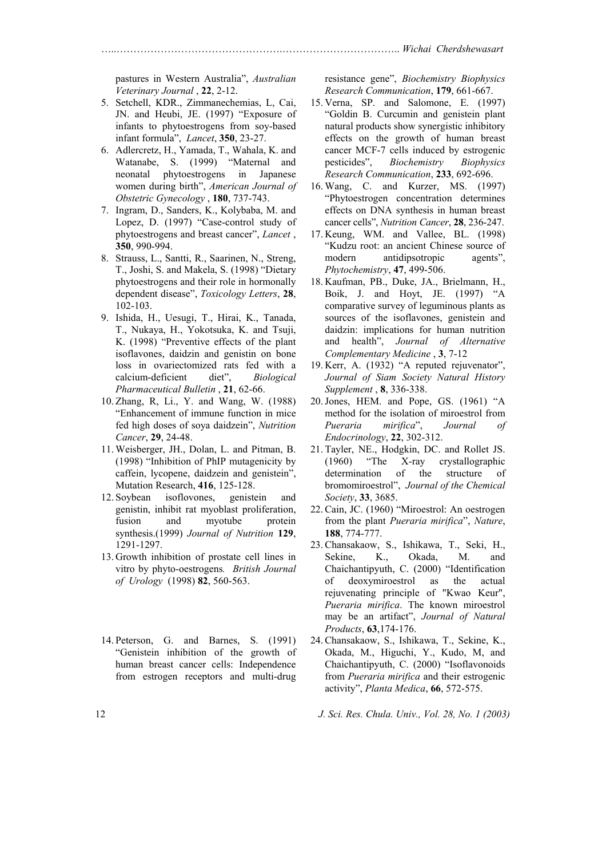pastures in Western Australia", *Australian Veterinary Journal* , **22**, 2-12.

- 5. Setchell, KDR., Zimmanechemias, L, Cai, JN. and Heubi, JE. (1997) "Exposure of infants to phytoestrogens from soy-based infant formula", *Lancet*, **350**, 23-27.
- 6. Adlercretz, H., Yamada, T., Wahala, K. and Watanabe, S. (1999) "Maternal and neonatal phytoestrogens in Japanese women during birth", *American Journal of Obstetric Gynecology* , **180**, 737-743.
- 7. Ingram, D., Sanders, K., Kolybaba, M. and Lopez, D. (1997) "Case-control study of phytoestrogens and breast cancer", *Lancet* , **350**, 990-994.
- 8. Strauss, L., Santti, R., Saarinen, N., Streng, T., Joshi, S. and Makela, S. (1998) "Dietary phytoestrogens and their role in hormonally dependent disease", *Toxicology Letters*, **28**, 102-103.
- 9. Ishida, H., Uesugi, T., Hirai, K., Tanada, T., Nukaya, H., Yokotsuka, K. and Tsuji, K. (1998) "Preventive effects of the plant isoflavones, daidzin and genistin on bone loss in ovariectomized rats fed with a calcium-deficient diet", *Biological Pharmaceutical Bulletin* , **21**, 62-66.
- 10. Zhang, R, Li., Y. and Wang, W. (1988) "Enhancement of immune function in mice fed high doses of soya daidzein", *Nutrition Cancer*, **29**, 24-48.
- 11. Weisberger, JH., Dolan, L. and Pitman, B. (1998) "Inhibition of PhIP mutagenicity by caffein, lycopene, daidzein and genistein", Mutation Research, **416**, 125-128.
- 12. Soybean isoflovones, genistein and genistin, inhibit rat myoblast proliferation, fusion and myotube protein synthesis.(1999) *Journal of Nutrition* **129**, 1291-1297.
- 13. Growth inhibition of prostate cell lines in vitro by phyto-oestrogens*. British Journal of Urology* (1998) **82**, 560-563.
- 14. Peterson, G. and Barnes, S. (1991) "Genistein inhibition of the growth of human breast cancer cells: Independence from estrogen receptors and multi-drug

resistance gene", *Biochemistry Biophysics Research Communication*, **179**, 661-667.

- 15. Verna, SP. and Salomone, E. (1997) "Goldin B. Curcumin and genistein plant natural products show synergistic inhibitory effects on the growth of human breast cancer MCF-7 cells induced by estrogenic pesticides", *Biochemistry Biophysics Research Communication*, **233**, 692-696.
- 16. Wang, C. and Kurzer, MS. (1997) "Phytoestrogen concentration determines effects on DNA synthesis in human breast cancer cells", *Nutrition Cancer*, **28**, 236-247.
- 17. Keung, WM. and Vallee, BL. (1998) "Kudzu root: an ancient Chinese source of modern antidipsotropic agents", *Phytochemistry*, **47**, 499-506.
- 18. Kaufman, PB., Duke, JA., Brielmann, H., Boik, J. and Hoyt, JE. (1997) "A comparative survey of leguminous plants as sources of the isoflavones, genistein and daidzin: implications for human nutrition and health", *Journal of Alternative Complementary Medicine* , **3**, 7-12
- 19. Kerr, A. (1932) "A reputed rejuvenator", *Journal of Siam Society Natural History Supplement* , **8**, 336-338.
- 20.Jones, HEM. and Pope, GS. (1961) "A method for the isolation of miroestrol from *Pueraria mirifica*", *Journal of Endocrinology*, **22**, 302-312.
- 21. Tayler, NE., Hodgkin, DC. and Rollet JS. (1960) "The X-ray crystallographic determination of the structure of bromomiroestrol", *Journal of the Chemical Society*, **33**, 3685.
- 22.Cain, JC. (1960) "Miroestrol: An oestrogen from the plant *Pueraria mirifica*", *Nature*, **188**, 774-777.
- 23.Chansakaow, S., Ishikawa, T., Seki, H., Sekine, K., Okada, M. and Chaichantipyuth, C. (2000) "Identification of deoxymiroestrol as the actual rejuvenating principle of "Kwao Keur", *Pueraria mirifica*. The known miroestrol may be an artifact", *Journal of Natural Products*, **63**,174-176.
- 24.Chansakaow, S., Ishikawa, T., Sekine, K., Okada, M., Higuchi, Y., Kudo, M, and Chaichantipyuth, C. (2000) "Isoflavonoids from *Pueraria mirifica* and their estrogenic activity", *Planta Medica*, **66**, 572-575.